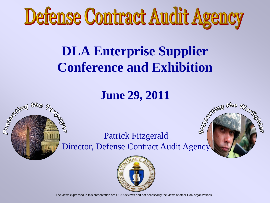

#### **DLA Enterprise Supplier Conference and Exhibition**

#### **June 29, 2011**

the h

**Programs** 

the

#### **Barried Manual** yer<br>T Patrick Fitzgerald Director, Defense Contract Audit Agency



The views expressed in this presentation are DCAA's views and not necessarily the views of other DoD organizations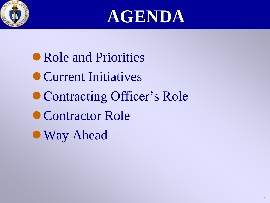



Role and Priorities Current Initiatives • Contracting Officer's Role ● Contractor Role Way Ahead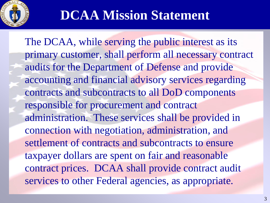

#### **DCAA Mission Statement**

The DCAA, while serving the public interest as its primary customer, shall perform all necessary contract audits for the Department of Defense and provide accounting and financial advisory services regarding contracts and subcontracts to all DoD components responsible for procurement and contract administration. These services shall be provided in connection with negotiation, administration, and settlement of contracts and subcontracts to ensure taxpayer dollars are spent on fair and reasonable contract prices. DCAA shall provide contract audit services to other Federal agencies, as appropriate.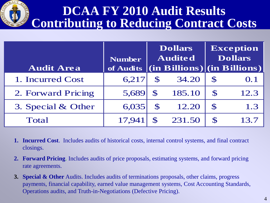

#### **DCAA FY 2010 Audit Results Contributing to Reducing Contract Costs**

|                    | <b>Number</b> | <b>Dollars</b><br><b>Audited</b> |        | <b>Exception</b><br><b>Dollars</b> |                                         |
|--------------------|---------------|----------------------------------|--------|------------------------------------|-----------------------------------------|
| <b>Audit Area</b>  | of Audits     |                                  |        |                                    | $ $ (in Billions) $ $ (in Billions) $ $ |
| 1. Incurred Cost   | 6,217         | $\mathbf S$                      | 34.20  | $\mathbf S$                        | 0.1                                     |
| 2. Forward Pricing | 5,689         | $\mathbf S$                      | 185.10 | $\mathbf S$                        | 12.3                                    |
| 3. Special & Other | 6,035         | $\mathcal{S}$                    | 12.20  | $\mathbf S$                        | 1.3                                     |
| <b>Total</b>       | 17,941        |                                  | 231.50 | S                                  |                                         |

- **1. Incurred Cost**. Includes audits of historical costs, internal control systems, and final contract closings.
- **2. Forward Pricing**. Includes audits of price proposals, estimating systems, and forward pricing rate agreements.
- **3. Special & Other** Audits. Includes audits of terminations proposals, other claims, progress payments, financial capability, earned value management systems, Cost Accounting Standards, Operations audits, and Truth-in-Negotiations (Defective Pricing).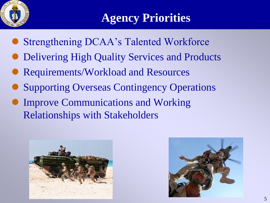

#### **Agency Priorities**

- Strengthening DCAA's Talented Workforce
- Delivering High Quality Services and Products
- Requirements/Workload and Resources
- Supporting Overseas Contingency Operations
- Improve Communications and Working Relationships with Stakeholders



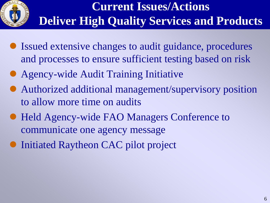

#### **Current Issues/Actions Deliver High Quality Services and Products**

- Issued extensive changes to audit guidance, procedures and processes to ensure sufficient testing based on risk
- Agency-wide Audit Training Initiative
- Authorized additional management/supervisory position to allow more time on audits
- Held Agency-wide FAO Managers Conference to communicate one agency message
- Initiated Raytheon CAC pilot project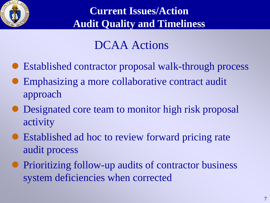

#### **Current Issues/Action Audit Quality and Timeliness**

#### DCAA Actions

- Established contractor proposal walk-through process
- Emphasizing a more collaborative contract audit approach
- Designated core team to monitor high risk proposal activity
- Established ad hoc to review forward pricing rate audit process
- Prioritizing follow-up audits of contractor business system deficiencies when corrected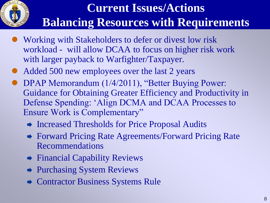

#### **Current Issues/Actions Balancing Resources with Requirements**

- Working with Stakeholders to defer or divest low risk workload - will allow DCAA to focus on higher risk work with larger payback to Warfighter/Taxpayer.
- Added 500 new employees over the last 2 years
- DPAP Memorandum (1/4/2011), "Better Buying Power: Guidance for Obtaining Greater Efficiency and Productivity in Defense Spending: "Align DCMA and DCAA Processes to Ensure Work is Complementary"
	- ◆ Increased Thresholds for Price Proposal Audits
	- **► Forward Pricing Rate Agreements/Forward Pricing Rate** Recommendations
	- **→ Financial Capability Reviews**
	- **→ Purchasing System Reviews**
	- **★ Contractor Business Systems Rule**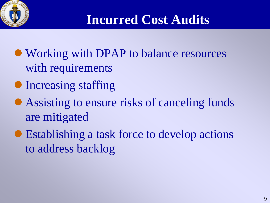

### **Incurred Cost Audits**

- Working with DPAP to balance resources with requirements
- Increasing staffing
- Assisting to ensure risks of canceling funds are mitigated
- Establishing a task force to develop actions to address backlog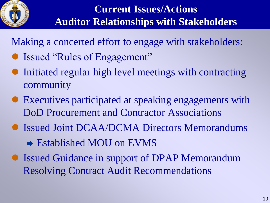

Making a concerted effort to engage with stakeholders:

- Issued "Rules of Engagement"
- Initiated regular high level meetings with contracting community
- Executives participated at speaking engagements with DoD Procurement and Contractor Associations
- Issued Joint DCAA/DCMA Directors Memorandums
	- **→ Established MOU on EVMS**
- Issued Guidance in support of DPAP Memorandum Resolving Contract Audit Recommendations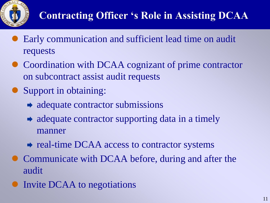

- Early communication and sufficient lead time on audit requests
- Coordination with DCAA cognizant of prime contractor on subcontract assist audit requests
- Support in obtaining:
	- $\rightarrow$  adequate contractor submissions
	- $\rightarrow$  adequate contractor supporting data in a timely manner
	- $\rightarrow$  real-time DCAA access to contractor systems
- Communicate with DCAA before, during and after the audit
- Invite DCAA to negotiations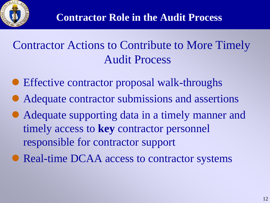#### Contractor Actions to Contribute to More Timely Audit Process

- Effective contractor proposal walk-throughs
- Adequate contractor submissions and assertions
- Adequate supporting data in a timely manner and timely access to **key** contractor personnel responsible for contractor support
- Real-time DCAA access to contractor systems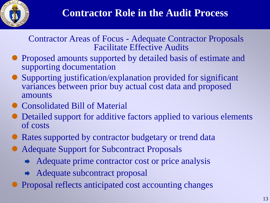

#### Contractor Areas of Focus - Adequate Contractor Proposals Facilitate Effective Audits

- Proposed amounts supported by detailed basis of estimate and supporting documentation
- Supporting justification/explanation provided for significant variances between prior buy actual cost data and proposed amounts
- Consolidated Bill of Material
- Detailed support for additive factors applied to various elements of costs
- Rates supported by contractor budgetary or trend data
- Adequate Support for Subcontract Proposals
	- $\rightarrow$  Adequate prime contractor cost or price analysis
	- **★** Adequate subcontract proposal
- Proposal reflects anticipated cost accounting changes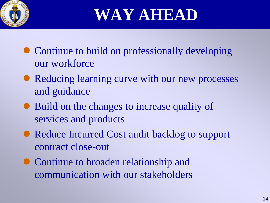

**WAY AHEAD**

- Continue to build on professionally developing our workforce
- Reducing learning curve with our new processes and guidance
- Build on the changes to increase quality of services and products
- Reduce Incurred Cost audit backlog to support contract close-out
- Continue to broaden relationship and communication with our stakeholders